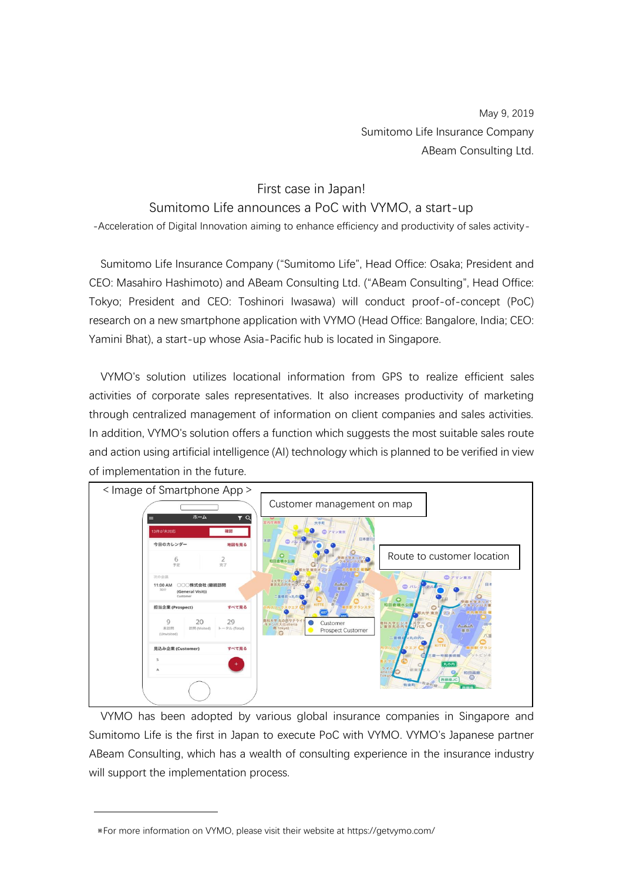May 9, 2019 Sumitomo Life Insurance Company ABeam Consulting Ltd.

## First case in Japan!

## Sumitomo Life announces a PoC with VYMO, a start-up

-Acceleration of Digital Innovation aiming to enhance efficiency and productivity of sales activity-

Sumitomo Life Insurance Company ("Sumitomo Life", Head Office: Osaka; President and CEO: Masahiro Hashimoto) and ABeam Consulting Ltd. ("ABeam Consulting", Head Office: Tokyo; President and CEO: Toshinori Iwasawa) will conduct proof-of-concept (PoC) research on a new smartphone application with VYMO (Head Office: Bangalore, India; CEO: Yamini Bhat), a start-up whose Asia-Pacific hub is located in Singapore.

VYMO's solution utilizes locational information from GPS to realize efficient sales activities of corporate sales representatives. It also increases productivity of marketing through centralized management of information on client companies and sales activities. In addition, VYMO's solution offers a function which suggests the most suitable sales route and action using artificial intelligence (AI) technology which is planned to be verified in view of implementation in the future.



VYMO has been adopted by various global insurance companies in Singapore and Sumitomo Life is the first in Japan to execute PoC with VYMO. VYMO's Japanese partner ABeam Consulting, which has a wealth of consulting experience in the insurance industry will support the implementation process.

<sup>※</sup>For more information on VYMO, please visit their website at https://getvymo.com/